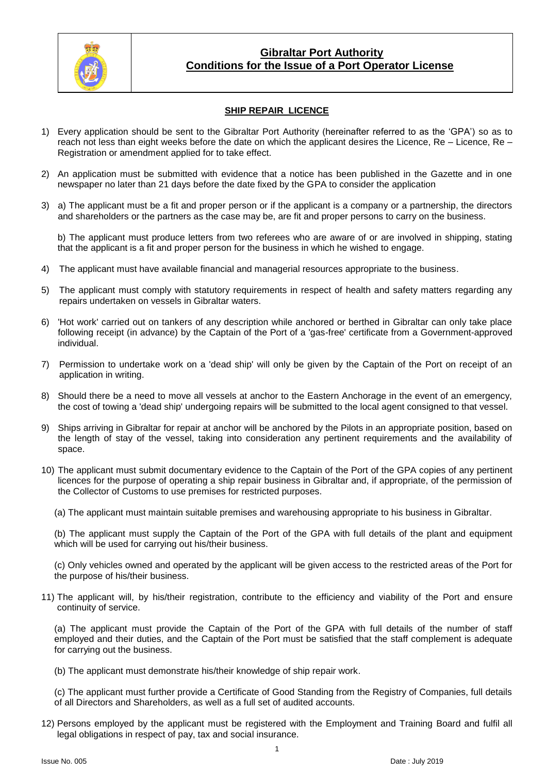

### **Gibraltar Port Authority Conditions for the Issue of a Port Operator License**

### **SHIP REPAIR LICENCE**

- 1) Every application should be sent to the Gibraltar Port Authority (hereinafter referred to as the 'GPA') so as to reach not less than eight weeks before the date on which the applicant desires the Licence, Re – Licence, Re – Registration or amendment applied for to take effect.
- 2) An application must be submitted with evidence that a notice has been published in the Gazette and in one newspaper no later than 21 days before the date fixed by the GPA to consider the application
- 3) a) The applicant must be a fit and proper person or if the applicant is a company or a partnership, the directors and shareholders or the partners as the case may be, are fit and proper persons to carry on the business.

b) The applicant must produce letters from two referees who are aware of or are involved in shipping, stating that the applicant is a fit and proper person for the business in which he wished to engage.

- 4) The applicant must have available financial and managerial resources appropriate to the business.
- 5) The applicant must comply with statutory requirements in respect of health and safety matters regarding any repairs undertaken on vessels in Gibraltar waters.
- 6) 'Hot work' carried out on tankers of any description while anchored or berthed in Gibraltar can only take place following receipt (in advance) by the Captain of the Port of a 'gas-free' certificate from a Government-approved individual.
- 7) Permission to undertake work on a 'dead ship' will only be given by the Captain of the Port on receipt of an application in writing.
- 8) Should there be a need to move all vessels at anchor to the Eastern Anchorage in the event of an emergency, the cost of towing a 'dead ship' undergoing repairs will be submitted to the local agent consigned to that vessel.
- 9) Ships arriving in Gibraltar for repair at anchor will be anchored by the Pilots in an appropriate position, based on the length of stay of the vessel, taking into consideration any pertinent requirements and the availability of space.
- 10) The applicant must submit documentary evidence to the Captain of the Port of the GPA copies of any pertinent licences for the purpose of operating a ship repair business in Gibraltar and, if appropriate, of the permission of the Collector of Customs to use premises for restricted purposes.
	- (a) The applicant must maintain suitable premises and warehousing appropriate to his business in Gibraltar.

(b) The applicant must supply the Captain of the Port of the GPA with full details of the plant and equipment which will be used for carrying out his/their business.

(c) Only vehicles owned and operated by the applicant will be given access to the restricted areas of the Port for the purpose of his/their business.

11) The applicant will, by his/their registration, contribute to the efficiency and viability of the Port and ensure continuity of service.

(a) The applicant must provide the Captain of the Port of the GPA with full details of the number of staff employed and their duties, and the Captain of the Port must be satisfied that the staff complement is adequate for carrying out the business.

(b) The applicant must demonstrate his/their knowledge of ship repair work.

(c) The applicant must further provide a Certificate of Good Standing from the Registry of Companies, full details of all Directors and Shareholders, as well as a full set of audited accounts.

12) Persons employed by the applicant must be registered with the Employment and Training Board and fulfil all legal obligations in respect of pay, tax and social insurance.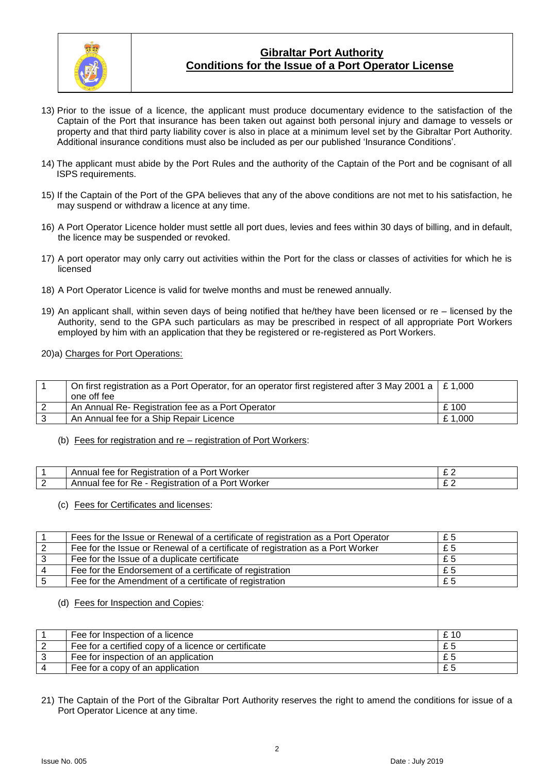

## **Gibraltar Port Authority Conditions for the Issue of a Port Operator License**

- 13) Prior to the issue of a licence, the applicant must produce documentary evidence to the satisfaction of the Captain of the Port that insurance has been taken out against both personal injury and damage to vessels or property and that third party liability cover is also in place at a minimum level set by the Gibraltar Port Authority. Additional insurance conditions must also be included as per our published 'Insurance Conditions'.
- 14) The applicant must abide by the Port Rules and the authority of the Captain of the Port and be cognisant of all ISPS requirements.
- 15) If the Captain of the Port of the GPA believes that any of the above conditions are not met to his satisfaction, he may suspend or withdraw a licence at any time.
- 16) A Port Operator Licence holder must settle all port dues, levies and fees within 30 days of billing, and in default, the licence may be suspended or revoked.
- 17) A port operator may only carry out activities within the Port for the class or classes of activities for which he is licensed
- 18) A Port Operator Licence is valid for twelve months and must be renewed annually.
- 19) An applicant shall, within seven days of being notified that he/they have been licensed or re licensed by the Authority, send to the GPA such particulars as may be prescribed in respect of all appropriate Port Workers employed by him with an application that they be registered or re-registered as Port Workers.
- 20)a) Charges for Port Operations:

| On first registration as a Port Operator, for an operator first registered after 3 May 2001 a $\mid$ £ 1,000 |         |
|--------------------------------------------------------------------------------------------------------------|---------|
| one off fee                                                                                                  |         |
| An Annual Re- Registration fee as a Port Operator                                                            | £100    |
| An Annual fee for a Ship Repair Licence                                                                      | £ 1,000 |

(b) Fees for registration and re – registration of Port Workers:

| e for Registration of a Port Worker<br>Annual<br>tee | ∼ |
|------------------------------------------------------|---|
| Annual fee for Re - Registration of a Port Worker    |   |

(c) Fees for Certificates and licenses:

| Fees for the Issue or Renewal of a certificate of registration as a Port Operator | £5 |
|-----------------------------------------------------------------------------------|----|
| Fee for the Issue or Renewal of a certificate of registration as a Port Worker    | £5 |
| Fee for the Issue of a duplicate certificate                                      | £5 |
| Fee for the Endorsement of a certificate of registration                          | £5 |
| Fee for the Amendment of a certificate of registration                            | £5 |

(d) Fees for Inspection and Copies:

| Fee for Inspection of a licence                      | £ 10 |
|------------------------------------------------------|------|
| Fee for a certified copy of a licence or certificate |      |
| Fee for inspection of an application                 |      |
| Fee for a copy of an application                     |      |

21) The Captain of the Port of the Gibraltar Port Authority reserves the right to amend the conditions for issue of a Port Operator Licence at any time.